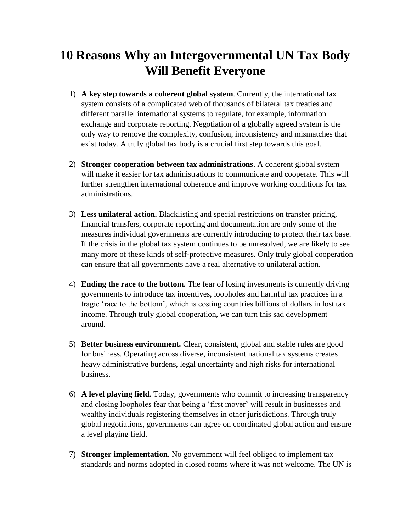## **10 Reasons Why an Intergovernmental UN Tax Body Will Benefit Everyone**

- 1) **A key step towards a coherent global system**. Currently, the international tax system consists of a complicated web of thousands of bilateral tax treaties and different parallel international systems to regulate, for example, information exchange and corporate reporting. Negotiation of a globally agreed system is the only way to remove the complexity, confusion, inconsistency and mismatches that exist today. A truly global tax body is a crucial first step towards this goal.
- 2) **Stronger cooperation between tax administrations**. A coherent global system will make it easier for tax administrations to communicate and cooperate. This will further strengthen international coherence and improve working conditions for tax administrations.
- 3) **Less unilateral action.** Blacklisting and special restrictions on transfer pricing, financial transfers, corporate reporting and documentation are only some of the measures individual governments are currently introducing to protect their tax base. If the crisis in the global tax system continues to be unresolved, we are likely to see many more of these kinds of self-protective measures. Only truly global cooperation can ensure that all governments have a real alternative to unilateral action.
- 4) **Ending the race to the bottom.** The fear of losing investments is currently driving governments to introduce tax incentives, loopholes and harmful tax practices in a tragic 'race to the bottom', which is costing countries billions of dollars in lost tax income. Through truly global cooperation, we can turn this sad development around.
- 5) **Better business environment.** Clear, consistent, global and stable rules are good for business. Operating across diverse, inconsistent national tax systems creates heavy administrative burdens, legal uncertainty and high risks for international business.
- 6) **A level playing field**. Today, governments who commit to increasing transparency and closing loopholes fear that being a 'first mover' will result in businesses and wealthy individuals registering themselves in other jurisdictions. Through truly global negotiations, governments can agree on coordinated global action and ensure a level playing field.
- 7) **Stronger implementation**. No government will feel obliged to implement tax standards and norms adopted in closed rooms where it was not welcome. The UN is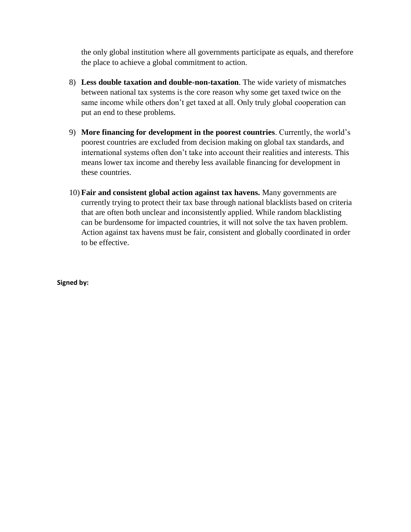the only global institution where all governments participate as equals, and therefore the place to achieve a global commitment to action.

- 8) **Less double taxation and double-non-taxation**. The wide variety of mismatches between national tax systems is the core reason why some get taxed twice on the same income while others don't get taxed at all. Only truly global cooperation can put an end to these problems.
- 9) **More financing for development in the poorest countries**. Currently, the world's poorest countries are excluded from decision making on global tax standards, and international systems often don't take into account their realities and interests. This means lower tax income and thereby less available financing for development in these countries.
- 10) **Fair and consistent global action against tax havens.** Many governments are currently trying to protect their tax base through national blacklists based on criteria that are often both unclear and inconsistently applied. While random blacklisting can be burdensome for impacted countries, it will not solve the tax haven problem. Action against tax havens must be fair, consistent and globally coordinated in order to be effective.

**Signed by:**